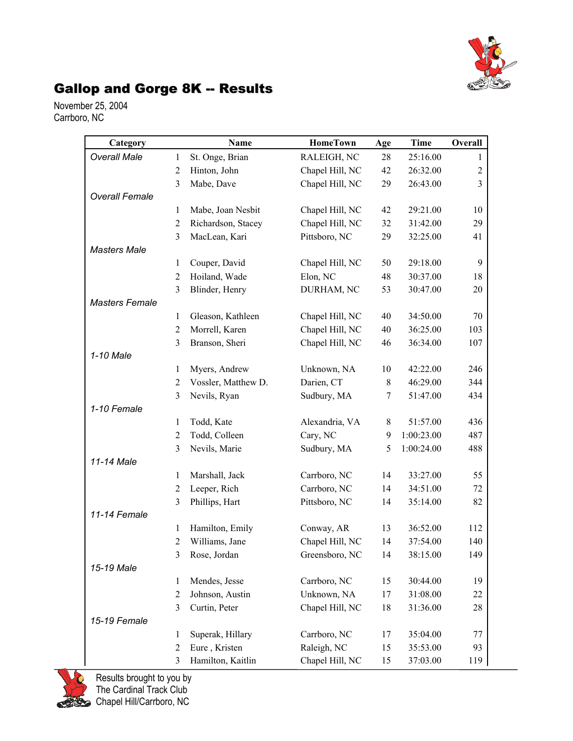

## Gallop and Gorge 8K -- Results

November 25, 2004 Carrboro, NC

| Category              |                | Name                              | <b>HomeTown</b>               | Age      | Time                 | Overall        |
|-----------------------|----------------|-----------------------------------|-------------------------------|----------|----------------------|----------------|
| <b>Overall Male</b>   | 1              | St. Onge, Brian                   | RALEIGH, NC                   | 28       | 25:16.00             | 1              |
|                       | $\overline{2}$ | Hinton, John                      | Chapel Hill, NC               | 42       | 26:32.00             | $\overline{c}$ |
|                       | 3              | Mabe, Dave                        | Chapel Hill, NC               | 29       | 26:43.00             | 3              |
| <b>Overall Female</b> |                |                                   |                               |          |                      |                |
|                       | 1              | Mabe, Joan Nesbit                 | Chapel Hill, NC               | 42       | 29:21.00             | 10             |
|                       | $\overline{2}$ | Richardson, Stacey                | Chapel Hill, NC               | 32       | 31:42.00             | 29             |
|                       | 3              | MacLean, Kari                     | Pittsboro, NC                 | 29       | 32:25.00             | 41             |
| <b>Masters Male</b>   |                |                                   |                               |          |                      |                |
|                       | 1              | Couper, David                     | Chapel Hill, NC               | 50       | 29:18.00             | 9              |
|                       | $\overline{2}$ | Hoiland, Wade                     | Elon, NC                      | 48       | 30:37.00             | 18             |
|                       | 3              | Blinder, Henry                    | DURHAM, NC                    | 53       | 30:47.00             | 20             |
| <b>Masters Female</b> |                |                                   |                               |          |                      |                |
|                       | 1              | Gleason, Kathleen                 | Chapel Hill, NC               | 40       | 34:50.00             | 70             |
|                       | $\overline{2}$ | Morrell, Karen                    | Chapel Hill, NC               | 40       | 36:25.00             | 103            |
|                       | 3              | Branson, Sheri                    | Chapel Hill, NC               | 46       | 36:34.00             | 107            |
| 1-10 Male             |                |                                   |                               |          |                      |                |
|                       | 1              | Myers, Andrew                     | Unknown, NA                   | 10       | 42:22.00             | 246            |
|                       | $\overline{2}$ | Vossler, Matthew D.               | Darien, CT                    | $8\,$    | 46:29.00             | 344            |
|                       | 3              | Nevils, Ryan                      | Sudbury, MA                   | 7        | 51:47.00             | 434            |
| 1-10 Female           |                |                                   |                               |          |                      |                |
|                       | 1              | Todd, Kate                        | Alexandria, VA                | 8        | 51:57.00             | 436            |
|                       | $\overline{2}$ | Todd, Colleen                     | Cary, NC                      | 9        | 1:00:23.00           | 487            |
|                       | 3              | Nevils, Marie                     | Sudbury, MA                   | 5        | 1:00:24.00           | 488            |
| 11-14 Male            |                |                                   |                               |          |                      |                |
|                       | 1              | Marshall, Jack                    | Carrboro, NC                  | 14       | 33:27.00             | 55             |
|                       | $\overline{2}$ | Leeper, Rich                      | Carrboro, NC                  | 14       | 34:51.00             | 72             |
|                       | 3              | Phillips, Hart                    | Pittsboro, NC                 | 14       | 35:14.00             | 82             |
| 11-14 Female          |                |                                   |                               |          |                      |                |
|                       | 1<br>2         | Hamilton, Emily<br>Williams, Jane | Conway, AR<br>Chapel Hill, NC | 13<br>14 | 36:52.00<br>37:54.00 | 112<br>140     |
|                       | $\mathfrak{Z}$ |                                   |                               |          |                      | 149            |
| 15-19 Male            |                | Rose, Jordan                      | Greensboro, NC                | 14       | 38:15.00             |                |
|                       | 1              | Mendes, Jesse                     | Carrboro, NC                  | 15       | 30:44.00             | 19             |
|                       | $\overline{2}$ | Johnson, Austin                   | Unknown, NA                   | 17       | 31:08.00             | 22             |
|                       | 3              | Curtin, Peter                     | Chapel Hill, NC               | 18       | 31:36.00             | 28             |
| 15-19 Female          |                |                                   |                               |          |                      |                |
|                       | 1              | Superak, Hillary                  | Carrboro, NC                  | 17       | 35:04.00             | 77             |
|                       | $\overline{2}$ | Eure, Kristen                     | Raleigh, NC                   | 15       | 35:53.00             | 93             |
|                       | 3              | Hamilton, Kaitlin                 | Chapel Hill, NC               | 15       | 37:03.00             | 119            |



Results brought to you by The Cardinal Track Club Chapel Hill/Carrboro, NC